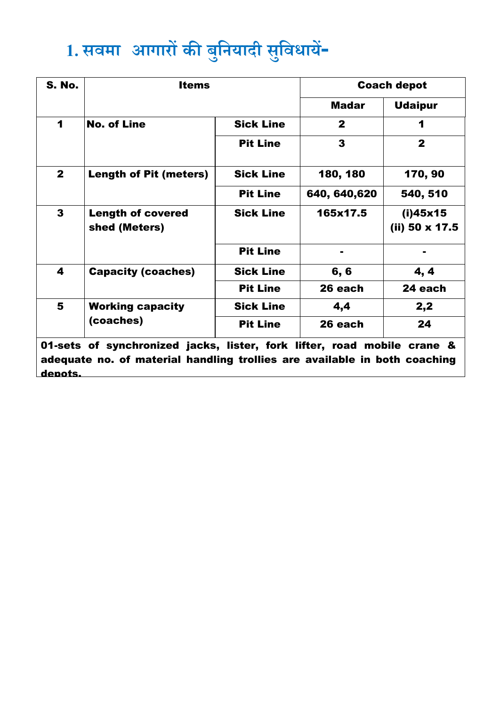## **1. सवमा [आगारों](http://www.nwr.indianrailways.gov.in/view_section.jsp?id=0,1,263,600) की ब ु नियादी स ु नवधायें-**

| <b>S. No.</b>                                                           | <b>Items</b>                              |                  | <b>Coach depot</b> |                            |  |  |
|-------------------------------------------------------------------------|-------------------------------------------|------------------|--------------------|----------------------------|--|--|
|                                                                         |                                           |                  | <b>Madar</b>       | <b>Udaipur</b>             |  |  |
| 1                                                                       | <b>No. of Line</b>                        | <b>Sick Line</b> | $\mathbf{2}$       | 1                          |  |  |
|                                                                         |                                           | <b>Pit Line</b>  | 3                  | $\mathbf{2}$               |  |  |
| $\mathbf{2}$                                                            | <b>Length of Pit (meters)</b>             | <b>Sick Line</b> | 180, 180           | 170, 90                    |  |  |
|                                                                         |                                           | <b>Pit Line</b>  | 640, 640, 620      | 540, 510                   |  |  |
| 3                                                                       | <b>Length of covered</b><br>shed (Meters) | <b>Sick Line</b> | 165x17.5           | (i)45x15<br>(ii) 50 x 17.5 |  |  |
|                                                                         |                                           | <b>Pit Line</b>  |                    |                            |  |  |
| 4                                                                       | <b>Capacity (coaches)</b>                 | <b>Sick Line</b> | 6,6                | 4, 4                       |  |  |
|                                                                         |                                           | <b>Pit Line</b>  | 26 each            | 24 each                    |  |  |
| 5                                                                       | <b>Working capacity</b><br>(coaches)      | <b>Sick Line</b> | 4,4                | 2,2                        |  |  |
|                                                                         |                                           | <b>Pit Line</b>  | 26 each            | 24                         |  |  |
| 01-sets of synchronized jacks, lister, fork lifter, road mobile crane & |                                           |                  |                    |                            |  |  |

adequate no. of material handling trollies are available in both coaching depots.